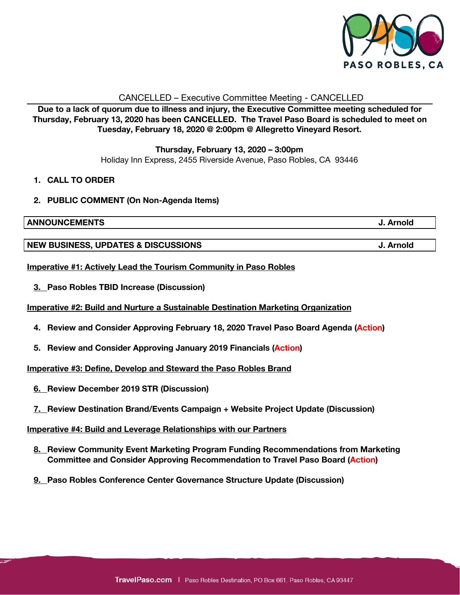

## CANCELLED – Executive Committee Meeting - CANCELLED

**Due to a lack of quorum due to illness and injury, the Executive Committee meeting scheduled for Thursday, February 13, 2020 has been CANCELLED. The Travel Paso Board is scheduled to meet on Tuesday, February 18, 2020 @ 2:00pm @ Allegretto Vineyard Resort.**

> **Thursday, February 13, 2020 – 3:00pm** Holiday Inn Express, 2455 Riverside Avenue, Paso Robles, CA 93446

- **1. CALL TO ORDER**
- **2. PUBLIC COMMENT (On Non-Agenda Items)**

**ANNOUNCEMENTS J. Arnold**

**NEW BUSINESS, UPDATES & DISCUSSIONS J. Arnold**

**Imperative #1: Actively Lead the Tourism Community in Paso Robles**

**3. Paso Robles TBID Increase (Discussion)**

**Imperative #2: Build and Nurture a Sustainable Destination Marketing Organization**

- **4. Review and Consider Approving February 18, 2020 Travel Paso Board Agenda (Action)**
- **5. Review and Consider Approving January 2019 Financials (Action)**

**Imperative #3: Define, Develop and Steward the Paso Robles Brand**

- **6. Review December 2019 STR (Discussion)**
- **7. Review Destination Brand/Events Campaign + Website Project Update (Discussion)**

**Imperative #4: Build and Leverage Relationships with our Partners**

- **8. Review Community Event Marketing Program Funding Recommendations from Marketing Committee and Consider Approving Recommendation to Travel Paso Board (Action)**
- **9. Paso Robles Conference Center Governance Structure Update (Discussion)**